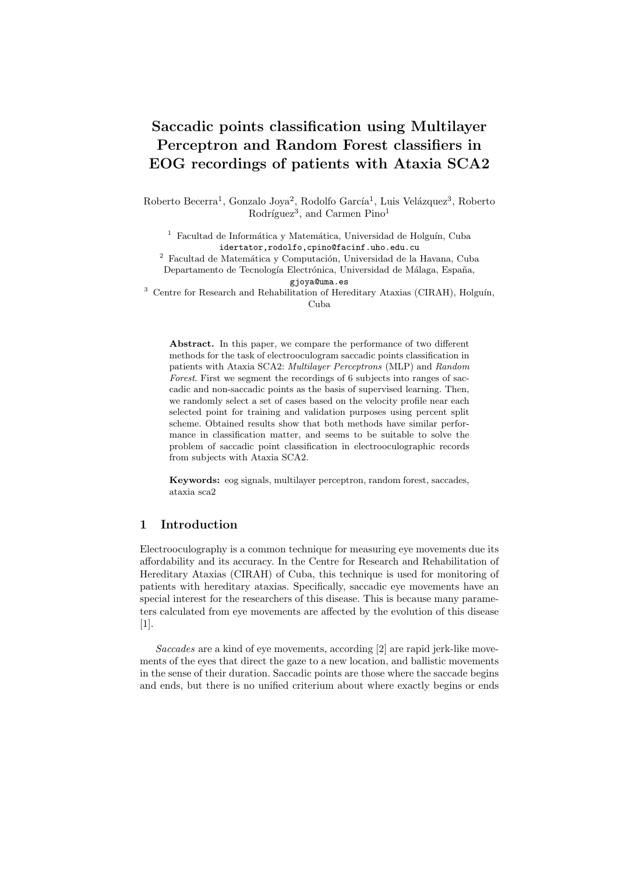# Saccadic points classification using Multilayer Perceptron and Random Forest classifiers in EOG recordings of patients with Ataxia SCA2

Roberto Becerra<sup>1</sup>, Gonzalo Joya<sup>2</sup>, Rodolfo García<sup>1</sup>, Luis Velázquez<sup>3</sup>, Roberto Rodríguez<sup>3</sup>, and Carmen Pino<sup>1</sup>

<sup>1</sup> Facultad de Informática y Matemática, Universidad de Holguín, Cuba idertator,rodolfo,cpino@facinf.uho.edu.cu

 $^2\,$  Facultad de Matemática y Computación, Universidad de la Havana, Cuba Departamento de Tecnología Electrónica, Universidad de Málaga, España,

gjoya@uma.es

 $3$  Centre for Research and Rehabilitation of Hereditary Ataxias (CIRAH), Holguín, Cuba

Abstract. In this paper, we compare the performance of two different methods for the task of electrooculogram saccadic points classification in patients with Ataxia SCA2: Multilayer Perceptrons (MLP) and Random Forest. First we segment the recordings of 6 subjects into ranges of saccadic and non-saccadic points as the basis of supervised learning. Then, we randomly select a set of cases based on the velocity profile near each selected point for training and validation purposes using percent split scheme. Obtained results show that both methods have similar performance in classification matter, and seems to be suitable to solve the problem of saccadic point classification in electrooculographic records from subjects with Ataxia SCA2.

Keywords: eog signals, multilayer perceptron, random forest, saccades, ataxia sca2

## 1 Introduction

Electrooculography is a common technique for measuring eye movements due its affordability and its accuracy. In the Centre for Research and Rehabilitation of Hereditary Ataxias (CIRAH) of Cuba, this technique is used for monitoring of patients with hereditary ataxias. Specifically, saccadic eye movements have an special interest for the researchers of this disease. This is because many parameters calculated from eye movements are affected by the evolution of this disease [1].

Saccades are a kind of eye movements, according [2] are rapid jerk-like movements of the eyes that direct the gaze to a new location, and ballistic movements in the sense of their duration. Saccadic points are those where the saccade begins and ends, but there is no unified criterium about where exactly begins or ends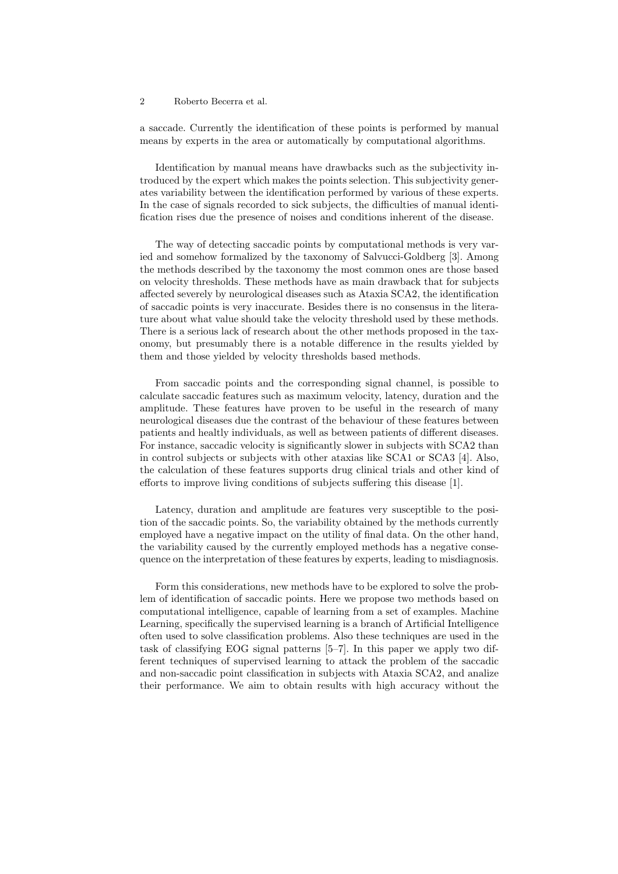a saccade. Currently the identification of these points is performed by manual means by experts in the area or automatically by computational algorithms.

Identification by manual means have drawbacks such as the subjectivity introduced by the expert which makes the points selection. This subjectivity generates variability between the identification performed by various of these experts. In the case of signals recorded to sick subjects, the difficulties of manual identification rises due the presence of noises and conditions inherent of the disease.

The way of detecting saccadic points by computational methods is very varied and somehow formalized by the taxonomy of Salvucci-Goldberg [3]. Among the methods described by the taxonomy the most common ones are those based on velocity thresholds. These methods have as main drawback that for subjects affected severely by neurological diseases such as Ataxia SCA2, the identification of saccadic points is very inaccurate. Besides there is no consensus in the literature about what value should take the velocity threshold used by these methods. There is a serious lack of research about the other methods proposed in the taxonomy, but presumably there is a notable difference in the results yielded by them and those yielded by velocity thresholds based methods.

From saccadic points and the corresponding signal channel, is possible to calculate saccadic features such as maximum velocity, latency, duration and the amplitude. These features have proven to be useful in the research of many neurological diseases due the contrast of the behaviour of these features between patients and healtly individuals, as well as between patients of different diseases. For instance, saccadic velocity is significantly slower in subjects with SCA2 than in control subjects or subjects with other ataxias like SCA1 or SCA3 [4]. Also, the calculation of these features supports drug clinical trials and other kind of efforts to improve living conditions of subjects suffering this disease [1].

Latency, duration and amplitude are features very susceptible to the position of the saccadic points. So, the variability obtained by the methods currently employed have a negative impact on the utility of final data. On the other hand, the variability caused by the currently employed methods has a negative consequence on the interpretation of these features by experts, leading to misdiagnosis.

Form this considerations, new methods have to be explored to solve the problem of identification of saccadic points. Here we propose two methods based on computational intelligence, capable of learning from a set of examples. Machine Learning, specifically the supervised learning is a branch of Artificial Intelligence often used to solve classification problems. Also these techniques are used in the task of classifying EOG signal patterns [5–7]. In this paper we apply two different techniques of supervised learning to attack the problem of the saccadic and non-saccadic point classification in subjects with Ataxia SCA2, and analize their performance. We aim to obtain results with high accuracy without the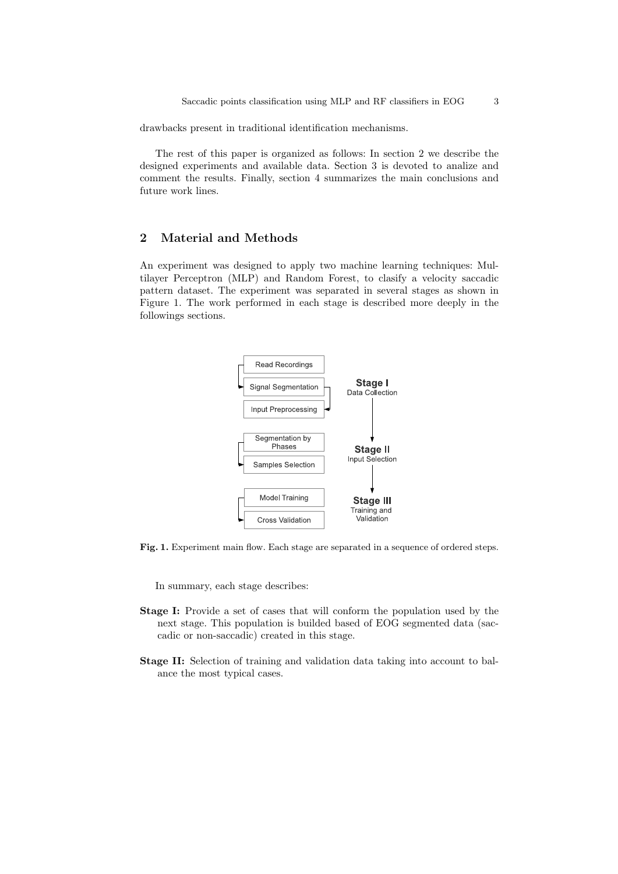drawbacks present in traditional identification mechanisms.

The rest of this paper is organized as follows: In section 2 we describe the designed experiments and available data. Section 3 is devoted to analize and comment the results. Finally, section 4 summarizes the main conclusions and future work lines.

# 2 Material and Methods

An experiment was designed to apply two machine learning techniques: Multilayer Perceptron (MLP) and Random Forest, to clasify a velocity saccadic pattern dataset. The experiment was separated in several stages as shown in Figure 1. The work performed in each stage is described more deeply in the followings sections.



Fig. 1. Experiment main flow. Each stage are separated in a sequence of ordered steps.

In summary, each stage describes:

- Stage I: Provide a set of cases that will conform the population used by the next stage. This population is builded based of EOG segmented data (saccadic or non-saccadic) created in this stage.
- Stage II: Selection of training and validation data taking into account to balance the most typical cases.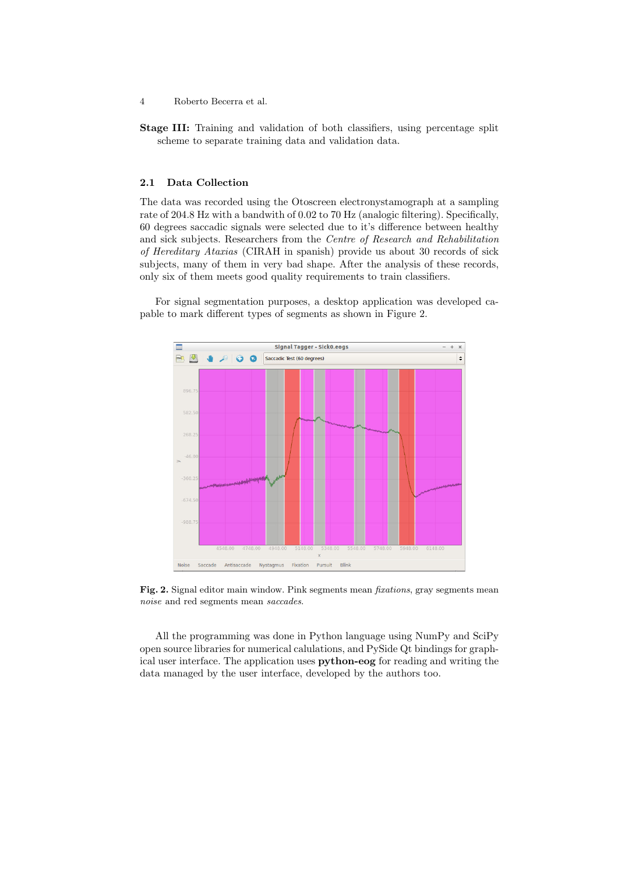- 4 Roberto Becerra et al.
- Stage III: Training and validation of both classifiers, using percentage split scheme to separate training data and validation data.

#### 2.1 Data Collection

The data was recorded using the Otoscreen electronystamograph at a sampling rate of 204.8 Hz with a bandwith of 0.02 to 70 Hz (analogic filtering). Specifically, 60 degrees saccadic signals were selected due to it's difference between healthy and sick subjects. Researchers from the Centre of Research and Rehabilitation of Hereditary Ataxias (CIRAH in spanish) provide us about 30 records of sick subjects, many of them in very bad shape. After the analysis of these records, only six of them meets good quality requirements to train classifiers.

For signal segmentation purposes, a desktop application was developed capable to mark different types of segments as shown in Figure 2.



Fig. 2. Signal editor main window. Pink segments mean fixations, gray segments mean noise and red segments mean saccades.

All the programming was done in Python language using NumPy and SciPy open source libraries for numerical calulations, and PySide Qt bindings for graphical user interface. The application uses python-eog for reading and writing the data managed by the user interface, developed by the authors too.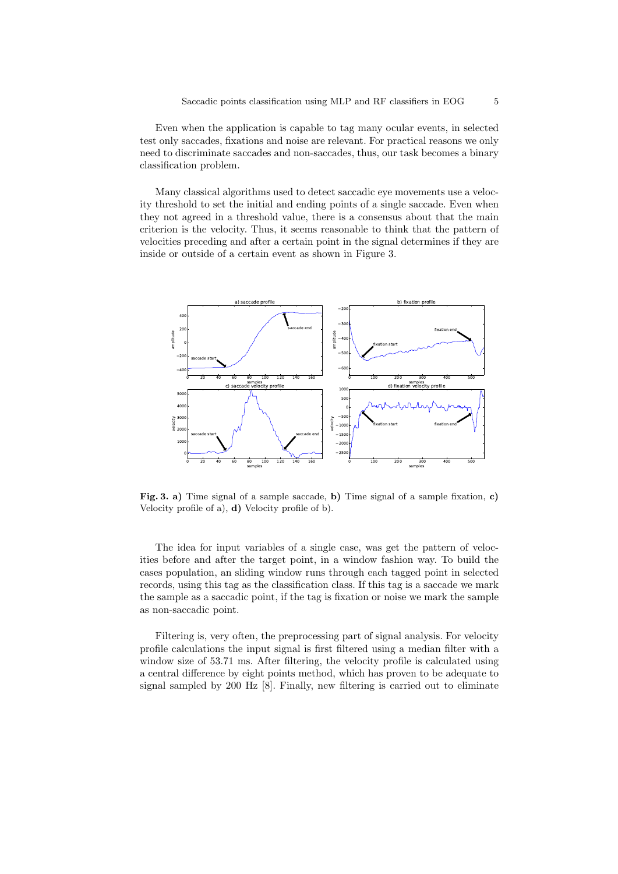Even when the application is capable to tag many ocular events, in selected test only saccades, fixations and noise are relevant. For practical reasons we only need to discriminate saccades and non-saccades, thus, our task becomes a binary classification problem.

Many classical algorithms used to detect saccadic eye movements use a velocity threshold to set the initial and ending points of a single saccade. Even when they not agreed in a threshold value, there is a consensus about that the main criterion is the velocity. Thus, it seems reasonable to think that the pattern of velocities preceding and after a certain point in the signal determines if they are inside or outside of a certain event as shown in Figure 3.



Fig. 3. a) Time signal of a sample saccade, b) Time signal of a sample fixation, c) Velocity profile of a), d) Velocity profile of b).

The idea for input variables of a single case, was get the pattern of velocities before and after the target point, in a window fashion way. To build the cases population, an sliding window runs through each tagged point in selected records, using this tag as the classification class. If this tag is a saccade we mark the sample as a saccadic point, if the tag is fixation or noise we mark the sample as non-saccadic point.

Filtering is, very often, the preprocessing part of signal analysis. For velocity profile calculations the input signal is first filtered using a median filter with a window size of 53.71 ms. After filtering, the velocity profile is calculated using a central difference by eight points method, which has proven to be adequate to signal sampled by 200 Hz [8]. Finally, new filtering is carried out to eliminate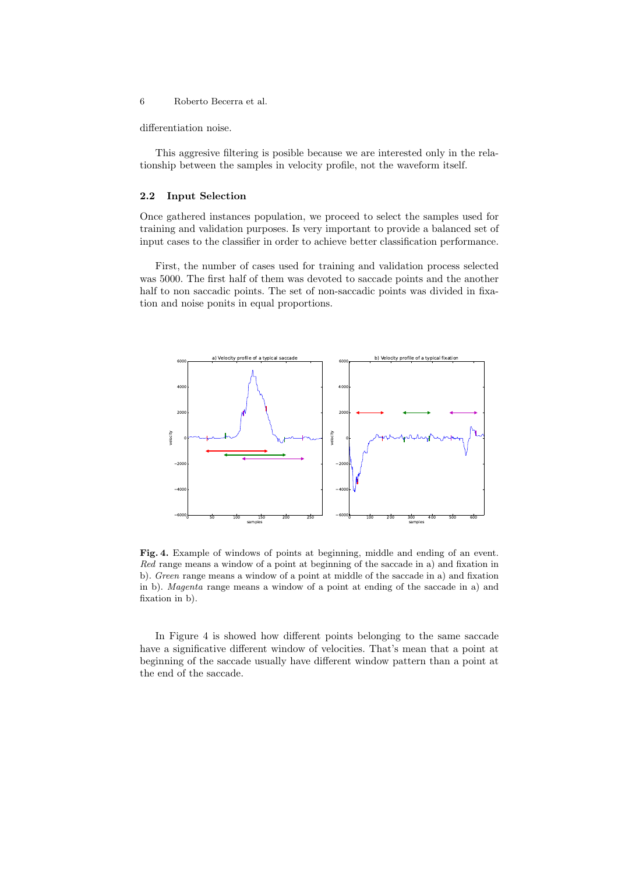differentiation noise.

This aggresive filtering is posible because we are interested only in the relationship between the samples in velocity profile, not the waveform itself.

### 2.2 Input Selection

Once gathered instances population, we proceed to select the samples used for training and validation purposes. Is very important to provide a balanced set of input cases to the classifier in order to achieve better classification performance.

First, the number of cases used for training and validation process selected was 5000. The first half of them was devoted to saccade points and the another half to non saccadic points. The set of non-saccadic points was divided in fixation and noise ponits in equal proportions.



Fig. 4. Example of windows of points at beginning, middle and ending of an event. Red range means a window of a point at beginning of the saccade in a) and fixation in b). Green range means a window of a point at middle of the saccade in a) and fixation in b). Magenta range means a window of a point at ending of the saccade in a) and fixation in b).

In Figure 4 is showed how different points belonging to the same saccade have a significative different window of velocities. That's mean that a point at beginning of the saccade usually have different window pattern than a point at the end of the saccade.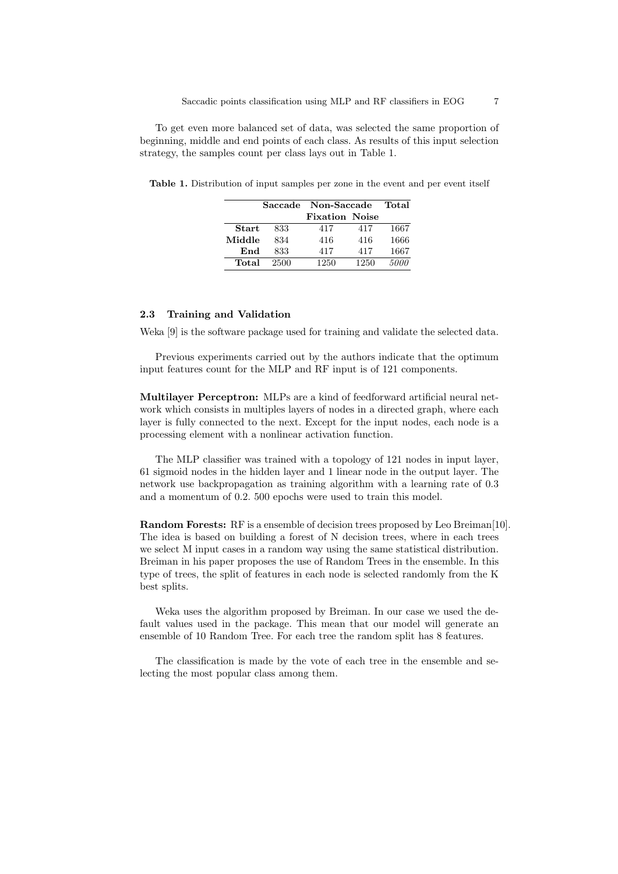To get even more balanced set of data, was selected the same proportion of beginning, middle and end points of each class. As results of this input selection strategy, the samples count per class lays out in Table 1.

Table 1. Distribution of input samples per zone in the event and per event itself

|        |      | Saccade Non-Saccade   |      | Total |
|--------|------|-----------------------|------|-------|
|        |      | <b>Fixation Noise</b> |      |       |
| Start  | 833  | 417                   | 417  | 1667  |
| Middle | 834  | 416                   | 416  | 1666  |
| End    | 833  | 417                   | 417  | 1667  |
| Total  | 2500 | 1250                  | 1250 | 5000  |

## 2.3 Training and Validation

Weka [9] is the software package used for training and validate the selected data.

Previous experiments carried out by the authors indicate that the optimum input features count for the MLP and RF input is of 121 components.

Multilayer Perceptron: MLPs are a kind of feedforward artificial neural network which consists in multiples layers of nodes in a directed graph, where each layer is fully connected to the next. Except for the input nodes, each node is a processing element with a nonlinear activation function.

The MLP classifier was trained with a topology of 121 nodes in input layer, 61 sigmoid nodes in the hidden layer and 1 linear node in the output layer. The network use backpropagation as training algorithm with a learning rate of 0.3 and a momentum of 0.2. 500 epochs were used to train this model.

Random Forests: RF is a ensemble of decision trees proposed by Leo Breiman[10]. The idea is based on building a forest of N decision trees, where in each trees we select M input cases in a random way using the same statistical distribution. Breiman in his paper proposes the use of Random Trees in the ensemble. In this type of trees, the split of features in each node is selected randomly from the K best splits.

Weka uses the algorithm proposed by Breiman. In our case we used the default values used in the package. This mean that our model will generate an ensemble of 10 Random Tree. For each tree the random split has 8 features.

The classification is made by the vote of each tree in the ensemble and selecting the most popular class among them.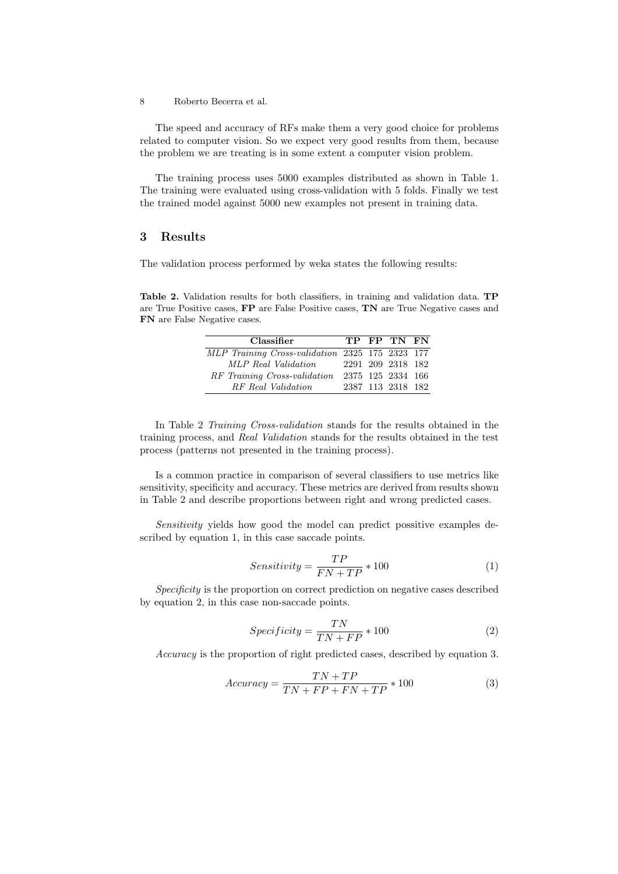The speed and accuracy of RFs make them a very good choice for problems related to computer vision. So we expect very good results from them, because the problem we are treating is in some extent a computer vision problem.

The training process uses 5000 examples distributed as shown in Table 1. The training were evaluated using cross-validation with 5 folds. Finally we test the trained model against 5000 new examples not present in training data.

## 3 Results

The validation process performed by weka states the following results:

Table 2. Validation results for both classifiers, in training and validation data. TP are True Positive cases, FP are False Positive cases, TN are True Negative cases and FN are False Negative cases.

| Classifier                                      |  | TP FP TN FN       |  |
|-------------------------------------------------|--|-------------------|--|
| MLP Training Cross-validation 2325 175 2323 177 |  |                   |  |
| MLP Real Validation                             |  | 2291 209 2318 182 |  |
| RF Training Cross-validation                    |  | 2375 125 2334 166 |  |
| RF Real Validation                              |  | 2387 113 2318 182 |  |

In Table 2 Training Cross-validation stands for the results obtained in the training process, and Real Validation stands for the results obtained in the test process (patterns not presented in the training process).

Is a common practice in comparison of several classifiers to use metrics like sensitivity, specificity and accuracy. These metrics are derived from results shown in Table 2 and describe proportions between right and wrong predicted cases.

Sensitivity yields how good the model can predict possitive examples described by equation 1, in this case saccade points.

$$
Sensitivity = \frac{TP}{FN + TP} * 100\tag{1}
$$

Specificity is the proportion on correct prediction on negative cases described by equation 2, in this case non-saccade points.

$$
Specificity = \frac{TN}{TN + FP} * 100\tag{2}
$$

Accuracy is the proportion of right predicted cases, described by equation 3.

$$
Accuracy = \frac{TN + TP}{TN + FP + FN + TP} * 100
$$
\n(3)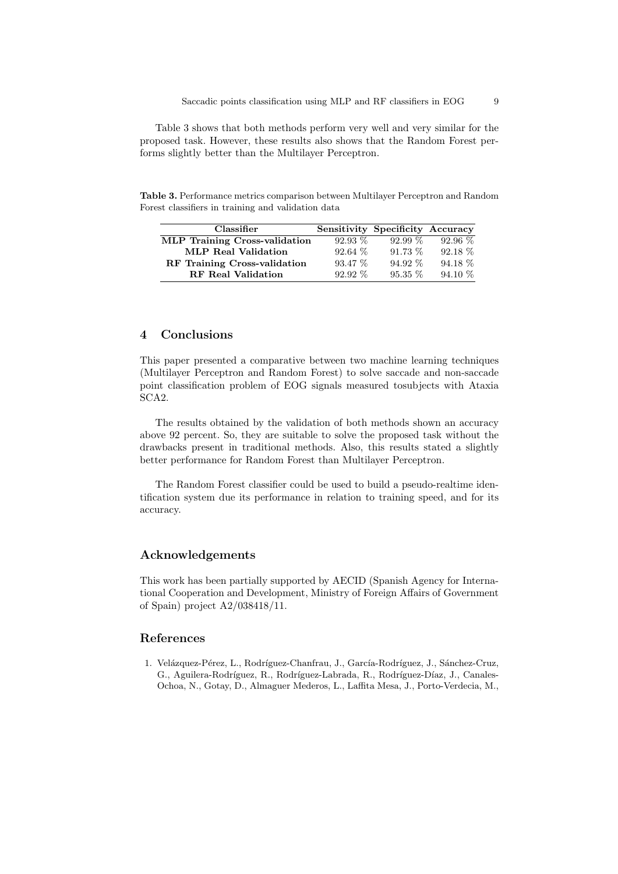Table 3 shows that both methods perform very well and very similar for the proposed task. However, these results also shows that the Random Forest performs slightly better than the Multilayer Perceptron.

Table 3. Performance metrics comparison between Multilayer Perceptron and Random Forest classifiers in training and validation data

| Classifier                           |           | Sensitivity Specificity Accuracy |           |
|--------------------------------------|-----------|----------------------------------|-----------|
| <b>MLP</b> Training Cross-validation | $92.93\%$ | $92.99\%$                        | $92.96\%$ |
| <b>MLP Real Validation</b>           | $92.64\%$ | $91.73\%$                        | $92.18\%$ |
| RF Training Cross-validation         | $93.47\%$ | $94.92\%$                        | $94.18\%$ |
| <b>RF</b> Real Validation            | $92.92\%$ | $95.35\%$                        | 94.10 %   |

# 4 Conclusions

This paper presented a comparative between two machine learning techniques (Multilayer Perceptron and Random Forest) to solve saccade and non-saccade point classification problem of EOG signals measured tosubjects with Ataxia SCA2.

The results obtained by the validation of both methods shown an accuracy above 92 percent. So, they are suitable to solve the proposed task without the drawbacks present in traditional methods. Also, this results stated a slightly better performance for Random Forest than Multilayer Perceptron.

The Random Forest classifier could be used to build a pseudo-realtime identification system due its performance in relation to training speed, and for its accuracy.

## Acknowledgements

This work has been partially supported by AECID (Spanish Agency for International Cooperation and Development, Ministry of Foreign Affairs of Government of Spain) project A2/038418/11.

## References

1. Velázquez-Pérez, L., Rodríguez-Chanfrau, J., García-Rodríguez, J., Sánchez-Cruz, G., Aguilera-Rodríguez, R., Rodríguez-Labrada, R., Rodríguez-Díaz, J., Canales-Ochoa, N., Gotay, D., Almaguer Mederos, L., Laffita Mesa, J., Porto-Verdecia, M.,